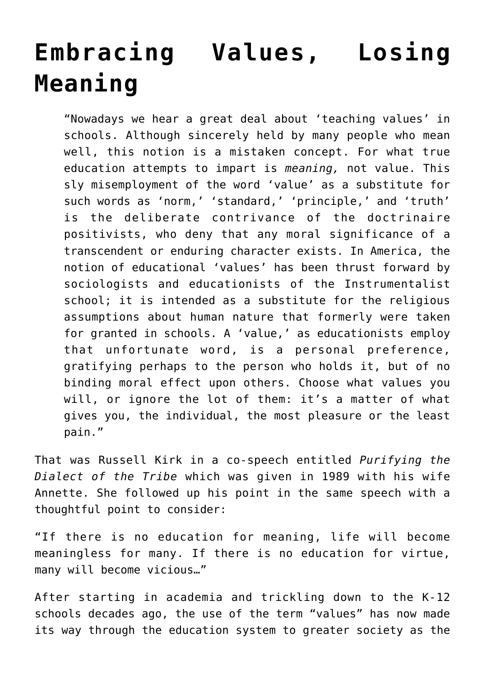## **[Embracing Values, Losing](https://intellectualtakeout.org/2015/08/embracing-values-losing-meaning/) [Meaning](https://intellectualtakeout.org/2015/08/embracing-values-losing-meaning/)**

"Nowadays we hear a great deal about 'teaching values' in schools. Although sincerely held by many people who mean well, this notion is a mistaken concept. For what true education attempts to impart is *meaning,* not value. This sly misemployment of the word 'value' as a substitute for such words as 'norm,' 'standard,' 'principle,' and 'truth' is the deliberate contrivance of the doctrinaire positivists, who deny that any moral significance of a transcendent or enduring character exists. In America, the notion of educational 'values' has been thrust forward by sociologists and educationists of the Instrumentalist school; it is intended as a substitute for the religious assumptions about human nature that formerly were taken for granted in schools. A 'value,' as educationists employ that unfortunate word, is a personal preference, gratifying perhaps to the person who holds it, but of no binding moral effect upon others. Choose what values you will, or ignore the lot of them: it's a matter of what gives you, the individual, the most pleasure or the least pain."

That was Russell Kirk in a co-speech entitled *Purifying the Dialect of the Tribe* which was given in 1989 with his wife Annette. She followed up his point in the same speech with a thoughtful point to consider:

"If there is no education for meaning, life will become meaningless for many. If there is no education for virtue, many will become vicious…"

After starting in academia and trickling down to the K-12 schools decades ago, the use of the term "values" has now made its way through the education system to greater society as the